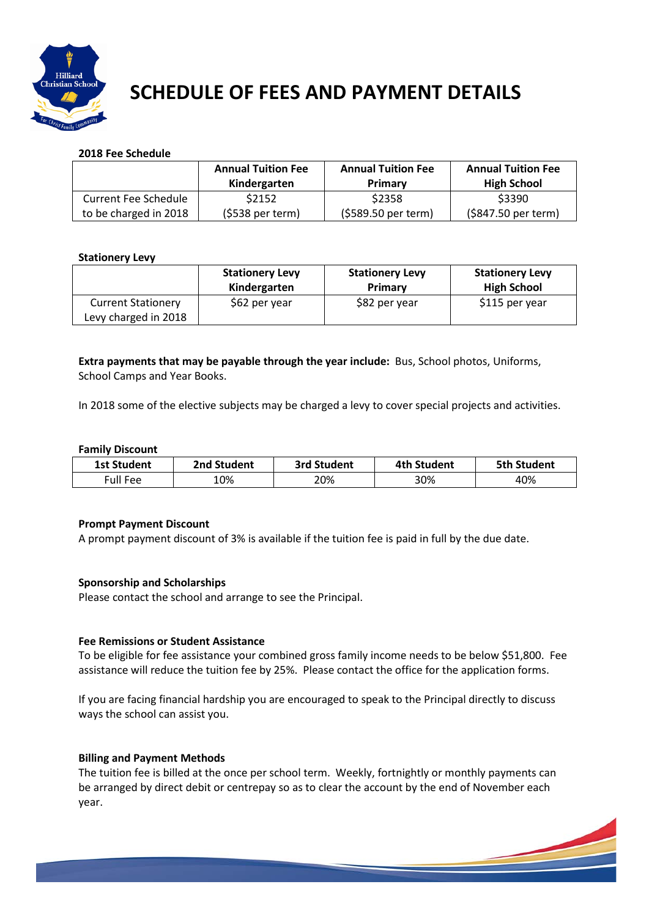

# SCHEDULE OF FEES AND PAYMENT DETAILS

# **2018 Fee Schedule**

|                             | <b>Annual Tuition Fee</b><br>Kindergarten | <b>Annual Tuition Fee</b><br>Primary | <b>Annual Tuition Fee</b><br><b>High School</b> |
|-----------------------------|-------------------------------------------|--------------------------------------|-------------------------------------------------|
| <b>Current Fee Schedule</b> | \$2152                                    | \$2358                               | \$3390                                          |
| to be charged in 2018       | $(5538 \text{ per term})$                 | (\$589.50 per term)                  | (\$847.50 per term)                             |

# **Stationery Levy**

|                           | <b>Stationery Levy</b><br>Kindergarten | <b>Stationery Levy</b><br>Primary | <b>Stationery Levy</b><br><b>High School</b> |
|---------------------------|----------------------------------------|-----------------------------------|----------------------------------------------|
| <b>Current Stationery</b> | \$62 per year                          | \$82 per year                     | \$115 per year                               |
| Levy charged in 2018      |                                        |                                   |                                              |

**Extra payments that may be payable through the year include:** Bus, School photos, Uniforms, School Camps and Year Books.

In 2018 some of the elective subjects may be charged a levy to cover special projects and activities.

# **Family Discount**

| <b>1st Student</b> | 2nd Student | 3rd Student | 4th Student | <b>5th Student</b> |
|--------------------|-------------|-------------|-------------|--------------------|
| Full Fee           | .0%         | 20%         | 30%         | 40%                |

# **Prompt Payment Discount**

A prompt payment discount of 3% is available if the tuition fee is paid in full by the due date.

# **Sponsorship and Scholarships**

Please contact the school and arrange to see the Principal.

#### **Fee Remissions or Student Assistance**

To be eligible for fee assistance your combined gross family income needs to be below \$51,800. Fee assistance will reduce the tuition fee by 25%. Please contact the office for the application forms.

If you are facing financial hardship you are encouraged to speak to the Principal directly to discuss ways the school can assist you.

#### **Billing and Payment Methods**

The tuition fee is billed at the once per school term. Weekly, fortnightly or monthly payments can be arranged by direct debit or centrepay so as to clear the account by the end of November each year.